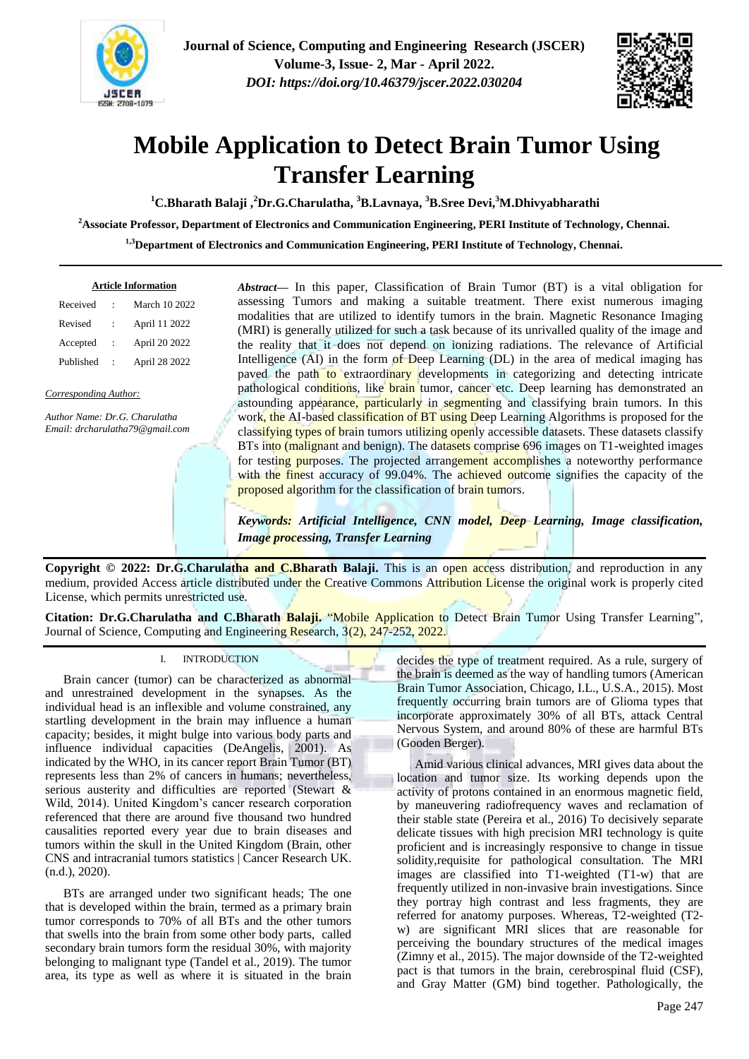



# **Mobile Application to Detect Brain Tumor Using Transfer Learning**

**<sup>1</sup>C.Bharath Balaji ,<sup>2</sup>Dr.G.Charulatha, <sup>3</sup>B.Lavnaya, <sup>3</sup>B.Sree Devi,<sup>3</sup>M.Dhivyabharathi**

**<sup>2</sup>Associate Professor, Department of Electronics and Communication Engineering, PERI Institute of Technology, Chennai.**

**1,3Department of Electronics and Communication Engineering, PERI Institute of Technology, Chennai.**

| <b>Article Information</b> |                      |               |
|----------------------------|----------------------|---------------|
| Received                   |                      | March 10 2022 |
| Revised                    |                      | April 11 2022 |
| Accepted                   | $\ddot{\phantom{a}}$ | April 20 2022 |
| Published                  |                      | April 28 2022 |
|                            |                      |               |

*Corresponding Author:*

*Author Name: Dr.G. Charulatha Email: drcharulatha79@gmail.com*  *Abstract***—** In this paper, Classification of Brain Tumor (BT) is a vital obligation for assessing Tumors and making a suitable treatment. There exist numerous imaging modalities that are utilized to identify tumors in the brain. Magnetic Resonance Imaging (MRI) is generally utilized for such a task because of its unrivalled quality of the image and the reality that it does not depend on ionizing radiations. The relevance of Artificial Intelligence (AI) in the form of Deep Learning (DL) in the area of medical imaging has paved the path to extraordinary developments in categorizing and detecting intricate pathological conditions, like brain tumor, cancer etc. Deep learning has demonstrated an astounding appearance, particularly in segmenting and classifying brain tumors. In this work, the AI-based classification of BT using Deep Learning Algorithms is proposed for the classifying types of brain tumors utilizing openly accessible datasets. These datasets classify BTs into (malignant and benign). The datasets comprise 696 images on T1-weighted images for testing purposes. The projected arrangement accomplishes a noteworthy performance with the finest accuracy of 99.04%. The achieved outcome signifies the capacity of the proposed algorithm for the classification of brain tumors.

*Keywords: Artificial Intelligence, CNN model, Deep Learning, Image classification, Image processing, Transfer Learning*

**Copyright © 2022: Dr.G.Charulatha and C.Bharath Balaji.** This is an open access distribution, and reproduction in any medium, provided Access article distributed under the Creative Commons Attribution License the original work is properly cited License, which permits unrestricted use.

**Citation: Dr.G.Charulatha and C.Bharath Balaji.** "Mobile Application to Detect Brain Tumor Using Transfer Learning", Journal of Science, Computing and Engineering Research, 3(2), 247-252, 2022.

# I. INTRODUCTION

Brain cancer (tumor) can be characterized as abnormal and unrestrained development in the synapses. As the individual head is an inflexible and volume constrained, any startling development in the brain may influence a human capacity; besides, it might bulge into various body parts and influence individual capacities (DeAngelis, 2001). As indicated by the WHO, in its cancer report Brain Tumor (BT) represents less than 2% of cancers in humans; nevertheless, serious austerity and difficulties are reported (Stewart & Wild, 2014). United Kingdom"s cancer research corporation referenced that there are around five thousand two hundred causalities reported every year due to brain diseases and tumors within the skull in the United Kingdom (Brain, other CNS and intracranial tumors statistics | Cancer Research UK. (n.d.), 2020).

BTs are arranged under two significant heads; The one that is developed within the brain, termed as a primary brain tumor corresponds to 70% of all BTs and the other tumors that swells into the brain from some other body parts, called secondary brain tumors form the residual 30%, with majority belonging to malignant type (Tandel et al., 2019). The tumor area, its type as well as where it is situated in the brain decides the type of treatment required. As a rule, surgery of the brain is deemed as the way of handling tumors (American Brain Tumor Association, Chicago, I.L., U.S.A., 2015). Most frequently occurring brain tumors are of Glioma types that incorporate approximately 30% of all BTs, attack Central Nervous System, and around 80% of these are harmful BTs (Gooden Berger).

Amid various clinical advances, MRI gives data about the location and tumor size. Its working depends upon the activity of protons contained in an enormous magnetic field, by maneuvering radiofrequency waves and reclamation of their stable state (Pereira et al., 2016) To decisively separate delicate tissues with high precision MRI technology is quite proficient and is increasingly responsive to change in tissue solidity,requisite for pathological consultation. The MRI images are classified into T1-weighted (T1-w) that are frequently utilized in non-invasive brain investigations. Since they portray high contrast and less fragments, they are referred for anatomy purposes. Whereas, T2-weighted (T2 w) are significant MRI slices that are reasonable for perceiving the boundary structures of the medical images (Zimny et al., 2015). The major downside of the T2-weighted pact is that tumors in the brain, cerebrospinal fluid (CSF), and Gray Matter (GM) bind together. Pathologically, the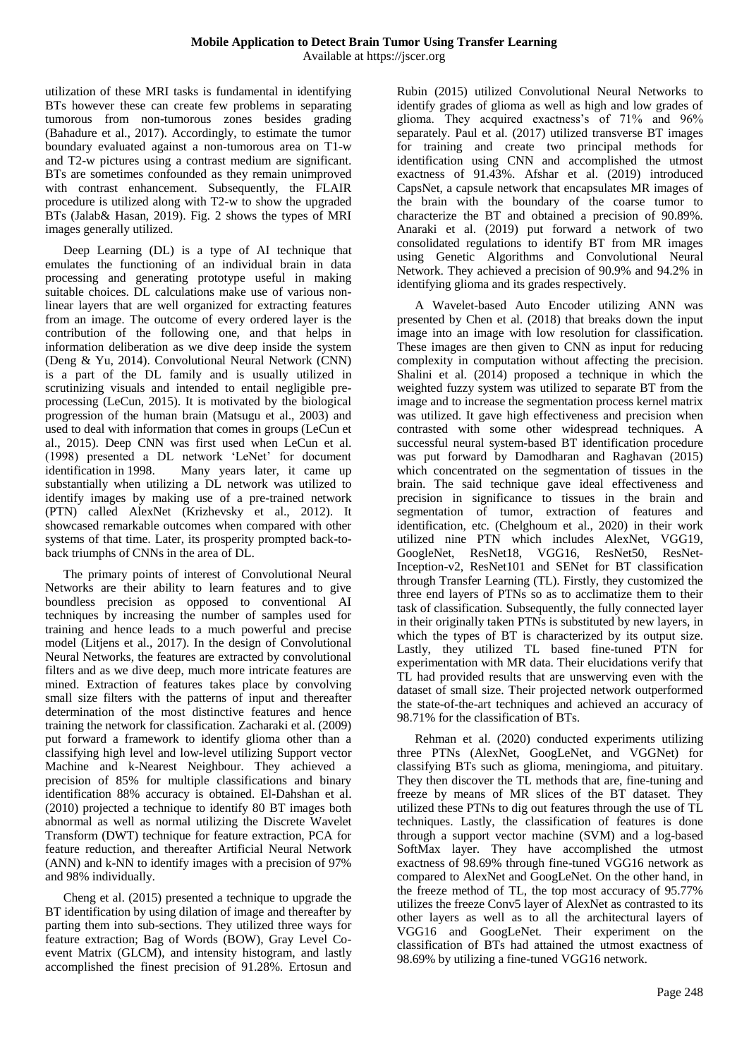utilization of these MRI tasks is fundamental in identifying BTs however these can create few problems in separating tumorous from non-tumorous zones besides grading (Bahadure et al., 2017). Accordingly, to estimate the tumor boundary evaluated against a non-tumorous area on T1-w and T2-w pictures using a contrast medium are significant. BTs are sometimes confounded as they remain unimproved with contrast enhancement. Subsequently, the FLAIR procedure is utilized along with T2-w to show the upgraded BTs (Jalab& Hasan, 2019). Fig. 2 shows the types of MRI images generally utilized.

Deep Learning (DL) is a type of AI technique that emulates the functioning of an individual brain in data processing and generating prototype useful in making suitable choices. DL calculations make use of various nonlinear layers that are well organized for extracting features from an image. The outcome of every ordered layer is the contribution of the following one, and that helps in information deliberation as we dive deep inside the system (Deng & Yu, 2014). Convolutional Neural Network (CNN) is a part of the DL family and is usually utilized in scrutinizing visuals and intended to entail negligible preprocessing (LeCun, 2015). It is motivated by the biological progression of the human brain (Matsugu et al., 2003) and used to deal with information that comes in groups (LeCun et al., 2015). Deep CNN was first used when LeCun et al. (1998) presented a DL network "LeNet" for document identification in 1998. Many years later, it came up substantially when utilizing a DL network was utilized to identify images by making use of a pre-trained network (PTN) called AlexNet (Krizhevsky et al., 2012). It showcased remarkable outcomes when compared with other systems of that time. Later, its prosperity prompted back-toback triumphs of CNNs in the area of DL.

The primary points of interest of Convolutional Neural Networks are their ability to learn features and to give boundless precision as opposed to conventional AI techniques by increasing the number of samples used for training and hence leads to a much powerful and precise model (Litjens et al., 2017). In the design of Convolutional Neural Networks, the features are extracted by convolutional filters and as we dive deep, much more intricate features are mined. Extraction of features takes place by convolving small size filters with the patterns of input and thereafter determination of the most distinctive features and hence training the network for classification. Zacharaki et al. (2009) put forward a framework to identify glioma other than a classifying high level and low-level utilizing Support vector Machine and k-Nearest Neighbour. They achieved a precision of 85% for multiple classifications and binary identification 88% accuracy is obtained. El-Dahshan et al. (2010) projected a technique to identify 80 BT images both abnormal as well as normal utilizing the Discrete Wavelet Transform (DWT) technique for feature extraction, PCA for feature reduction, and thereafter Artificial Neural Network (ANN) and k-NN to identify images with a precision of 97% and 98% individually.

Cheng et al. (2015) presented a technique to upgrade the BT identification by using dilation of image and thereafter by parting them into sub-sections. They utilized three ways for feature extraction; Bag of Words (BOW), Gray Level Coevent Matrix (GLCM), and intensity histogram, and lastly accomplished the finest precision of 91.28%. Ertosun and

Rubin (2015) utilized Convolutional Neural Networks to identify grades of glioma as well as high and low grades of glioma. They acquired exactness"s of 71% and 96% separately. Paul et al. (2017) utilized transverse BT images for training and create two principal methods for identification using CNN and accomplished the utmost exactness of 91.43%. Afshar et al. (2019) introduced CapsNet, a capsule network that encapsulates MR images of the brain with the boundary of the coarse tumor to characterize the BT and obtained a precision of 90.89%. Anaraki et al. (2019) put forward a network of two consolidated regulations to identify BT from MR images using Genetic Algorithms and Convolutional Neural Network. They achieved a precision of 90.9% and 94.2% in identifying glioma and its grades respectively.

A Wavelet-based Auto Encoder utilizing ANN was presented by Chen et al. (2018) that breaks down the input image into an image with low resolution for classification. These images are then given to CNN as input for reducing complexity in computation without affecting the precision. Shalini et al. (2014) proposed a technique in which the weighted fuzzy system was utilized to separate BT from the image and to increase the segmentation process kernel matrix was utilized. It gave high effectiveness and precision when contrasted with some other widespread techniques. A successful neural system-based BT identification procedure was put forward by Damodharan and Raghavan (2015) which concentrated on the segmentation of tissues in the brain. The said technique gave ideal effectiveness and precision in significance to tissues in the brain and segmentation of tumor, extraction of features and identification, etc. (Chelghoum et al., 2020) in their work utilized nine PTN which includes AlexNet, VGG19, GoogleNet, ResNet18, VGG16, ResNet50, ResNet-Inception-v2, ResNet101 and SENet for BT classification through Transfer Learning (TL). Firstly, they customized the three end layers of PTNs so as to acclimatize them to their task of classification. Subsequently, the fully connected layer in their originally taken PTNs is substituted by new layers, in which the types of BT is characterized by its output size. Lastly, they utilized TL based fine-tuned PTN for experimentation with MR data. Their elucidations verify that TL had provided results that are unswerving even with the dataset of small size. Their projected network outperformed the state-of-the-art techniques and achieved an accuracy of 98.71% for the classification of BTs.

Rehman et al. (2020) conducted experiments utilizing three PTNs (AlexNet, GoogLeNet, and VGGNet) for classifying BTs such as glioma, meningioma, and pituitary. They then discover the TL methods that are, fine-tuning and freeze by means of MR slices of the BT dataset. They utilized these PTNs to dig out features through the use of TL techniques. Lastly, the classification of features is done through a support vector machine (SVM) and a log-based SoftMax layer. They have accomplished the utmost exactness of 98.69% through fine-tuned VGG16 network as compared to AlexNet and GoogLeNet. On the other hand, in the freeze method of TL, the top most accuracy of 95.77% utilizes the freeze Conv5 layer of AlexNet as contrasted to its other layers as well as to all the architectural layers of VGG16 and GoogLeNet. Their experiment on the classification of BTs had attained the utmost exactness of 98.69% by utilizing a fine-tuned VGG16 network.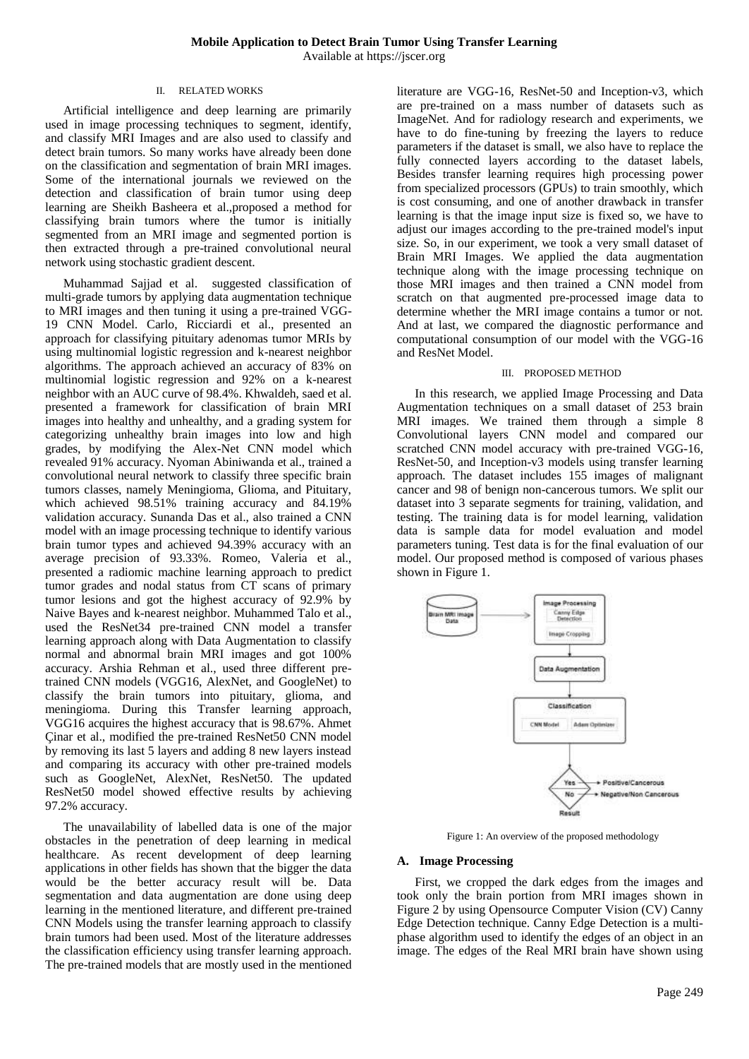## II. RELATED WORKS

Artificial intelligence and deep learning are primarily used in image processing techniques to segment, identify, and classify MRI Images and are also used to classify and detect brain tumors. So many works have already been done on the classification and segmentation of brain MRI images. Some of the international journals we reviewed on the detection and classification of brain tumor using deep learning are Sheikh Basheera et al.,proposed a method for classifying brain tumors where the tumor is initially segmented from an MRI image and segmented portion is then extracted through a pre-trained convolutional neural network using stochastic gradient descent.

Muhammad Sajjad et al. suggested classification of multi-grade tumors by applying data augmentation technique to MRI images and then tuning it using a pre-trained VGG-19 CNN Model. Carlo, Ricciardi et al., presented an approach for classifying pituitary adenomas tumor MRIs by using multinomial logistic regression and k-nearest neighbor algorithms. The approach achieved an accuracy of 83% on multinomial logistic regression and 92% on a k-nearest neighbor with an AUC curve of 98.4%. Khwaldeh, saed et al. presented a framework for classification of brain MRI images into healthy and unhealthy, and a grading system for categorizing unhealthy brain images into low and high grades, by modifying the Alex-Net CNN model which revealed 91% accuracy. Nyoman Abiniwanda et al., trained a convolutional neural network to classify three specific brain tumors classes, namely Meningioma, Glioma, and Pituitary, which achieved  $98.51\%$  training accuracy and  $84.19\%$ validation accuracy. Sunanda Das et al., also trained a CNN model with an image processing technique to identify various brain tumor types and achieved 94.39% accuracy with an average precision of 93.33%. Romeo, Valeria et al., presented a radiomic machine learning approach to predict tumor grades and nodal status from CT scans of primary tumor lesions and got the highest accuracy of 92.9% by Naive Bayes and k-nearest neighbor. Muhammed Talo et al., used the ResNet34 pre-trained CNN model a transfer learning approach along with Data Augmentation to classify normal and abnormal brain MRI images and got 100% accuracy. Arshia Rehman et al., used three different pretrained CNN models (VGG16, AlexNet, and GoogleNet) to classify the brain tumors into pituitary, glioma, and meningioma. During this Transfer learning approach, VGG16 acquires the highest accuracy that is 98.67%. Ahmet Çinar et al., modified the pre-trained ResNet50 CNN model by removing its last 5 layers and adding 8 new layers instead and comparing its accuracy with other pre-trained models such as GoogleNet, AlexNet, ResNet50. The updated ResNet50 model showed effective results by achieving 97.2% accuracy.

The unavailability of labelled data is one of the major obstacles in the penetration of deep learning in medical healthcare. As recent development of deep learning applications in other fields has shown that the bigger the data would be the better accuracy result will be. Data segmentation and data augmentation are done using deep learning in the mentioned literature, and different pre-trained CNN Models using the transfer learning approach to classify brain tumors had been used. Most of the literature addresses the classification efficiency using transfer learning approach. The pre-trained models that are mostly used in the mentioned

literature are VGG-16, ResNet-50 and Inception-v3, which are pre-trained on a mass number of datasets such as ImageNet. And for radiology research and experiments, we have to do fine-tuning by freezing the layers to reduce parameters if the dataset is small, we also have to replace the fully connected layers according to the dataset labels, Besides transfer learning requires high processing power from specialized processors (GPUs) to train smoothly, which is cost consuming, and one of another drawback in transfer learning is that the image input size is fixed so, we have to adjust our images according to the pre-trained model's input size. So, in our experiment, we took a very small dataset of Brain MRI Images. We applied the data augmentation technique along with the image processing technique on those MRI images and then trained a CNN model from scratch on that augmented pre-processed image data to determine whether the MRI image contains a tumor or not. And at last, we compared the diagnostic performance and computational consumption of our model with the VGG-16 and ResNet Model.

#### III. PROPOSED METHOD

In this research, we applied Image Processing and Data Augmentation techniques on a small dataset of 253 brain MRI images. We trained them through a simple 8 Convolutional layers CNN model and compared our scratched CNN model accuracy with pre-trained VGG-16, ResNet-50, and Inception-v3 models using transfer learning approach. The dataset includes 155 images of malignant cancer and 98 of benign non-cancerous tumors. We split our dataset into 3 separate segments for training, validation, and testing. The training data is for model learning, validation data is sample data for model evaluation and model parameters tuning. Test data is for the final evaluation of our model. Our proposed method is composed of various phases shown in Figure 1.



Figure 1: An overview of the proposed methodology

#### **A. Image Processing**

First, we cropped the dark edges from the images and took only the brain portion from MRI images shown in Figure 2 by using Opensource Computer Vision (CV) Canny Edge Detection technique. Canny Edge Detection is a multiphase algorithm used to identify the edges of an object in an image. The edges of the Real MRI brain have shown using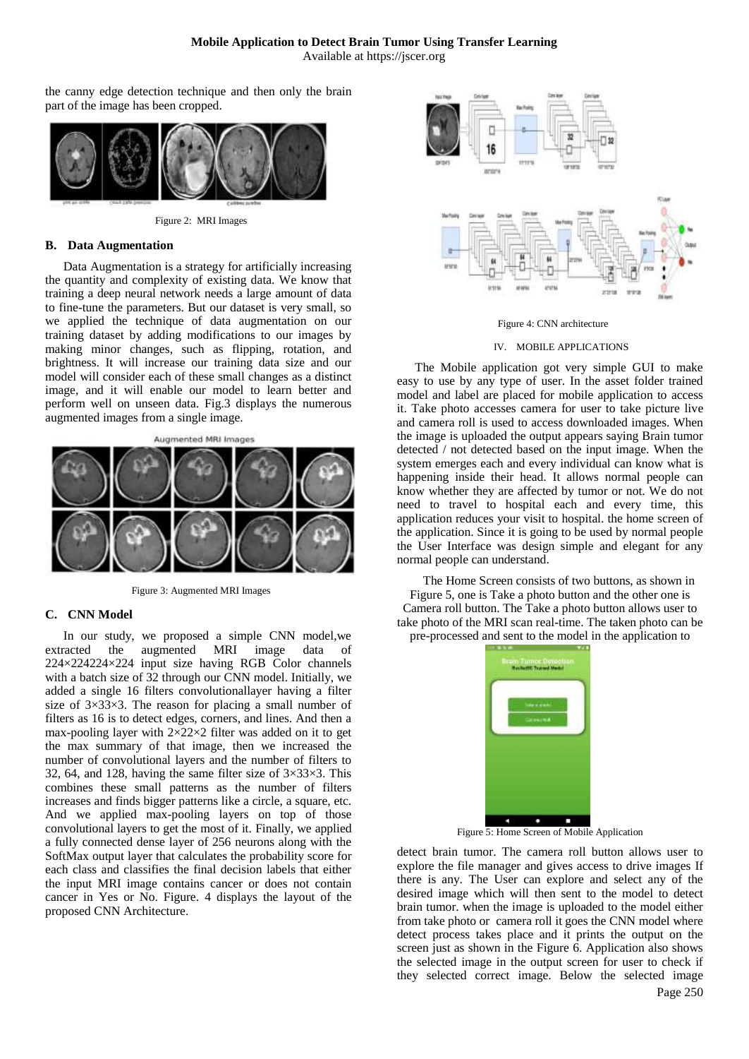Available at https://jscer.org

the canny edge detection technique and then only the brain part of the image has been cropped.



Figure 2: MRI Images

#### **B. Data Augmentation**

Data Augmentation is a strategy for artificially increasing the quantity and complexity of existing data. We know that training a deep neural network needs a large amount of data to fine-tune the parameters. But our dataset is very small, so we applied the technique of data augmentation on our training dataset by adding modifications to our images by making minor changes, such as flipping, rotation, and brightness. It will increase our training data size and our model will consider each of these small changes as a distinct image, and it will enable our model to learn better and perform well on unseen data. Fig.3 displays the numerous augmented images from a single image.





Figure 3: Augmented MRI Images

## **C. CNN Model**

In our study, we proposed a simple CNN model,we extracted the augmented MRI image data of 224×224224×224 input size having RGB Color channels with a batch size of 32 through our CNN model. Initially, we added a single 16 filters convolutionallayer having a filter size of 3×33×3. The reason for placing a small number of filters as 16 is to detect edges, corners, and lines. And then a max-pooling layer with  $2\times22\times2$  filter was added on it to get the max summary of that image, then we increased the number of convolutional layers and the number of filters to 32, 64, and 128, having the same filter size of  $3\times33\times3$ . This combines these small patterns as the number of filters increases and finds bigger patterns like a circle, a square, etc. And we applied max-pooling layers on top of those convolutional layers to get the most of it. Finally, we applied a fully connected dense layer of 256 neurons along with the SoftMax output layer that calculates the probability score for each class and classifies the final decision labels that either the input MRI image contains cancer or does not contain cancer in Yes or No. Figure. 4 displays the layout of the proposed CNN Architecture.



Figure 4: CNN architecture

#### IV. MOBILE APPLICATIONS

The Mobile application got very simple GUI to make easy to use by any type of user. In the asset folder trained model and label are placed for mobile application to access it. Take photo accesses camera for user to take picture live and camera roll is used to access downloaded images. When the image is uploaded the output appears saying Brain tumor detected / not detected based on the input image. When the system emerges each and every individual can know what is happening inside their head. It allows normal people can know whether they are affected by tumor or not. We do not need to travel to hospital each and every time, this application reduces your visit to hospital. the home screen of the application. Since it is going to be used by normal people the User Interface was design simple and elegant for any normal people can understand.

The Home Screen consists of two buttons, as shown in Figure 5, one is Take a photo button and the other one is Camera roll button. The Take a photo button allows user to take photo of the MRI scan real-time. The taken photo can be pre-processed and sent to the model in the application to

> etc. To a well Mark о п

Figure 5: Home Screen of Mobile Application

detect brain tumor. The camera roll button allows user to explore the file manager and gives access to drive images If there is any. The User can explore and select any of the desired image which will then sent to the model to detect brain tumor. when the image is uploaded to the model either from take photo or camera roll it goes the CNN model where detect process takes place and it prints the output on the screen just as shown in the Figure 6. Application also shows the selected image in the output screen for user to check if they selected correct image. Below the selected image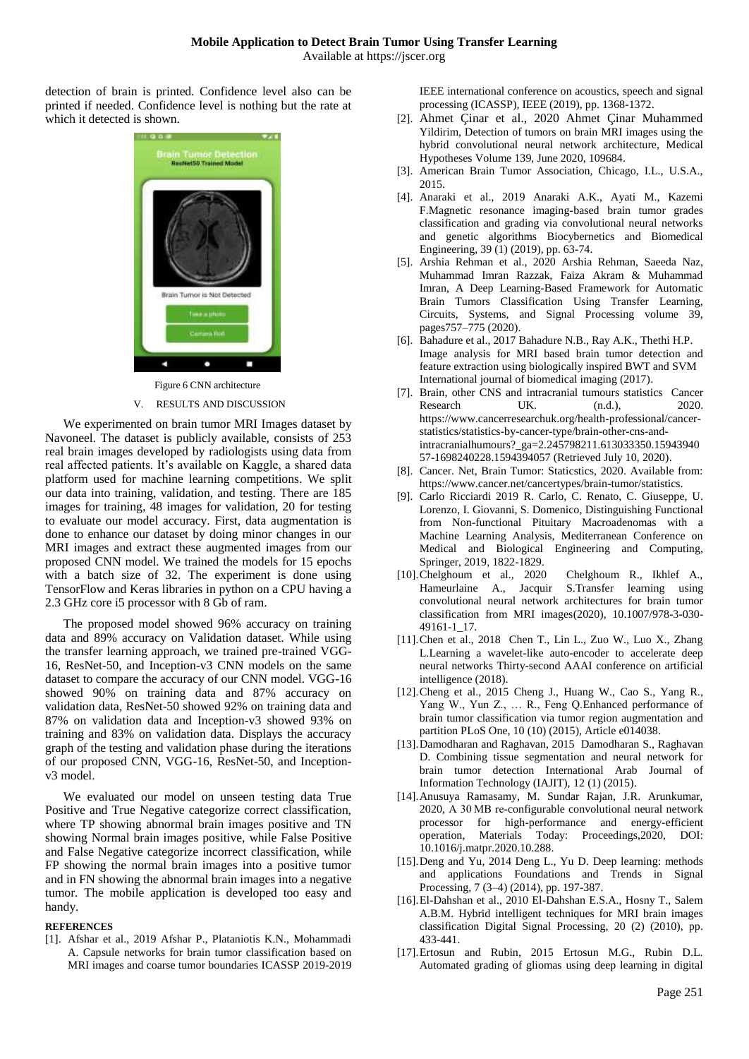detection of brain is printed. Confidence level also can be printed if needed. Confidence level is nothing but the rate at which it detected is shown.



Figure 6 CNN architecture

## V. RESULTS AND DISCUSSION

We experimented on brain tumor MRI Images dataset by Navoneel. The dataset is publicly available, consists of 253 real brain images developed by radiologists using data from real affected patients. It's available on Kaggle, a shared data platform used for machine learning competitions. We split our data into training, validation, and testing. There are 185 images for training, 48 images for validation, 20 for testing to evaluate our model accuracy. First, data augmentation is done to enhance our dataset by doing minor changes in our MRI images and extract these augmented images from our proposed CNN model. We trained the models for 15 epochs with a batch size of 32. The experiment is done using TensorFlow and Keras libraries in python on a CPU having a 2.3 GHz core i5 processor with 8 Gb of ram.

The proposed model showed 96% accuracy on training data and 89% accuracy on Validation dataset. While using the transfer learning approach, we trained pre-trained VGG-16, ResNet-50, and Inception-v3 CNN models on the same dataset to compare the accuracy of our CNN model. VGG-16 showed 90% on training data and 87% accuracy on validation data, ResNet-50 showed 92% on training data and 87% on validation data and Inception-v3 showed 93% on training and 83% on validation data. Displays the accuracy graph of the testing and validation phase during the iterations of our proposed CNN, VGG-16, ResNet-50, and Inceptionv3 model.

We evaluated our model on unseen testing data True Positive and True Negative categorize correct classification, where TP showing abnormal brain images positive and TN showing Normal brain images positive, while False Positive and False Negative categorize incorrect classification, while FP showing the normal brain images into a positive tumor and in FN showing the abnormal brain images into a negative tumor. The mobile application is developed too easy and handy.

## **REFERENCES**

[1]. Afshar et al., 2019 Afshar P., Plataniotis K.N., Mohammadi A. Capsule networks for brain tumor classification based on MRI images and coarse tumor boundaries ICASSP 2019-2019

IEEE international conference on acoustics, speech and signal processing (ICASSP), IEEE (2019), pp. 1368-1372.

- [2]. Ahmet Çinar et al., 2020 Ahmet Çinar Muhammed Yildirim, Detection of tumors on brain MRI images using the hybrid convolutional neural network architecture, Medical Hypotheses Volume 139, June 2020, 109684.
- [3]. American Brain Tumor Association, Chicago, I.L., U.S.A., 2015.
- [4]. Anaraki et al., 2019 Anaraki A.K., Ayati M., Kazemi F.Magnetic resonance imaging-based brain tumor grades classification and grading via convolutional neural networks and genetic algorithms Biocybernetics and Biomedical Engineering, 39 (1) (2019), pp. 63-74.
- [5]. Arshia Rehman et al., 2020 Arshia Rehman, Saeeda Naz, Muhammad Imran Razzak, Faiza Akram & Muhammad Imran, A Deep Learning-Based Framework for Automatic Brain Tumors Classification Using Transfer Learning, Circuits, Systems, and Signal Processing volume 39, pages757–775 (2020).
- [6]. Bahadure et al., 2017 Bahadure N.B., Ray A.K., Thethi H.P. Image analysis for MRI based brain tumor detection and feature extraction using biologically inspired BWT and SVM International journal of biomedical imaging (2017).
- [7]. Brain, other CNS and intracranial tumours statistics Cancer Research UK. (n.d.), 2020. https://www.cancerresearchuk.org/health-professional/cancerstatistics/statistics-by-cancer-type/brain-other-cns-andintracranialhumours?\_ga=2.245798211.613033350.15943940 57-1698240228.1594394057 (Retrieved July 10, 2020).
- [8]. Cancer. Net, Brain Tumor: Staticstics, 2020. Available from: https://www.cancer.net/cancertypes/brain-tumor/statistics.
- [9]. Carlo Ricciardi 2019 R. Carlo, C. Renato, C. Giuseppe, U. Lorenzo, I. Giovanni, S. Domenico, Distinguishing Functional from Non-functional Pituitary Macroadenomas with a Machine Learning Analysis, Mediterranean Conference on Medical and Biological Engineering and Computing, Springer, 2019, 1822-1829.
- [10].Chelghoum et al., 2020 Chelghoum R., Ikhlef A., Hameurlaine A., Jacquir S.Transfer learning using convolutional neural network architectures for brain tumor classification from MRI images(2020), 10.1007/978-3-030- 49161-1\_17.
- [11].Chen et al., 2018 Chen T., Lin L., Zuo W., Luo X., Zhang L.Learning a wavelet-like auto-encoder to accelerate deep neural networks Thirty-second AAAI conference on artificial intelligence (2018).
- [12].Cheng et al., 2015 Cheng J., Huang W., Cao S., Yang R., Yang W., Yun Z., … R., Feng Q.Enhanced performance of brain tumor classification via tumor region augmentation and partition PLoS One, 10 (10) (2015), Article e014038.
- [13].Damodharan and Raghavan, 2015 Damodharan S., Raghavan D. Combining tissue segmentation and neural network for brain tumor detection International Arab Journal of Information Technology (IAJIT), 12 (1) (2015).
- [14].Anusuya Ramasamy, M. Sundar Rajan, J.R. Arunkumar, 2020, A 30 MB re-configurable convolutional neural network processor for high-performance and energy-efficient operation, Materials Today: Proceedings,2020, DOI: 10.1016/j.matpr.2020.10.288.
- [15].Deng and Yu, 2014 Deng L., Yu D. Deep learning: methods and applications Foundations and Trends in Signal Processing, 7 (3–4) (2014), pp. 197-387.
- [16].El-Dahshan et al., 2010 El-Dahshan E.S.A., Hosny T., Salem A.B.M. Hybrid intelligent techniques for MRI brain images classification Digital Signal Processing, 20 (2) (2010), pp. 433-441.
- [17].Ertosun and Rubin, 2015 Ertosun M.G., Rubin D.L. Automated grading of gliomas using deep learning in digital